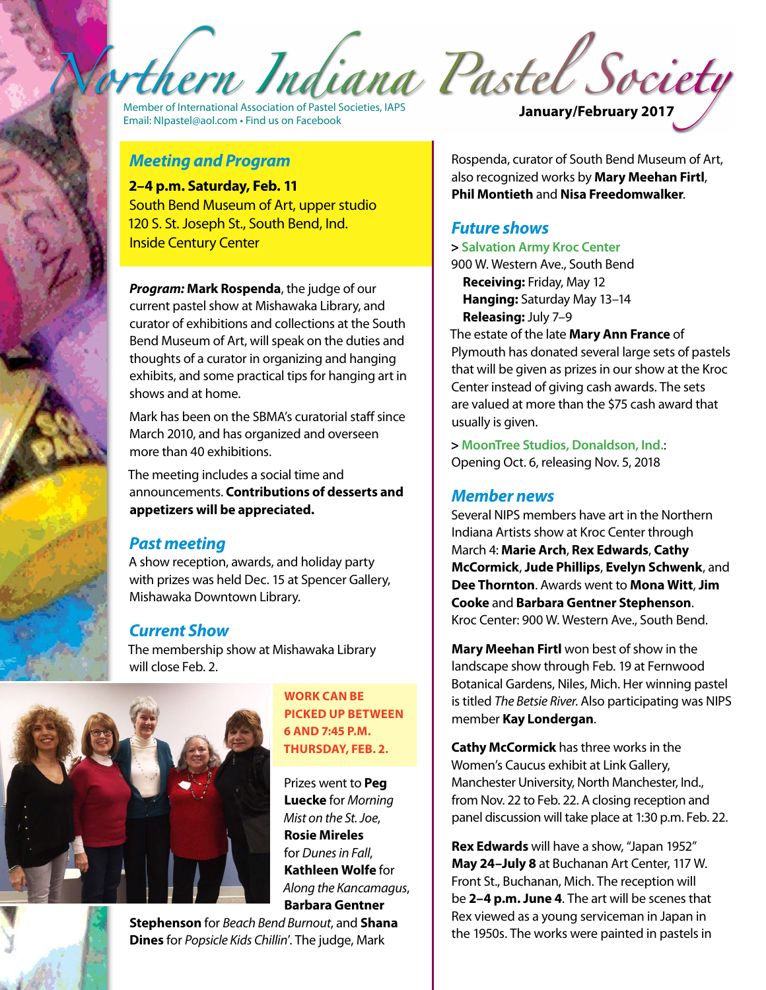rthern Indiana Pastel Society

Member of International Association of Pastel Societies, IAPS<br>
Email: [NIpastel@aol.com](mailto:NIpastel@aol.com) • Find us on Facebook **January/February 2017** 

#### *Meeting and Program*

**2–4 p.m. Saturday, Feb. 11** South Bend Museum of Art, upper studio 120 S. St. Joseph St., South Bend, Ind. Inside Century Center

*Program:* **Mark Rospenda**, the judge of our current pastel show at Mishawaka Library, and curator of exhibitions and collections at the South Bend Museum of Art, will speak on the duties and thoughts of a curator in organizing and hanging exhibits, and some practical tips for hanging art in shows and at home.

Mark has been on the SBMA's curatorial staff since March 2010, and has organized and overseen more than 40 exhibitions.

The meeting includes a social time and announcements. **Contributions of desserts and appetizers will be appreciated.**

#### *Past meeting*

A show reception, awards, and holiday party with prizes was held Dec. 15 at Spencer Gallery, Mishawaka Downtown Library.

### *Current Show*

The membership show at Mishawaka Library will close Feb. 2.



**Work can be picked up between 6 and 7:45 p.m. Thursday, Feb. 2.**

Prizes went to **Peg Luecke** for *Morning Mist on the St. Joe*, **Rosie Mireles** for *Dunes in Fall*, **Kathleen Wolfe** for *Along the Kancamagus*, **Barbara Gentner** 

**Stephenson** for *Beach Bend Burnout*, and **Shana Dines** for *Popsicle Kids Chillin*'. The judge, Mark

Rospenda, curator of South Bend Museum of Art, also recognized works by **Mary Meehan Firtl**, **Phil Montieth** and **Nisa Freedomwalker**.

#### *Future shows*

**> Salvation Army Kroc Center**

900 W. Western Ave., South Bend **Receiving:** Friday, May 12 **Hanging:** Saturday May 13–14 **Releasing:** July 7–9

The estate of the late **Mary Ann France** of Plymouth has donated several large sets of pastels that will be given as prizes in our show at the Kroc Center instead of giving cash awards. The sets are valued at more than the \$75 cash award that usually is given.

**> MoonTree Studios, Donaldson, Ind.**: Opening Oct. 6, releasing Nov. 5, 2018

#### *Member news*

Several NIPS members have art in the Northern Indiana Artists show at Kroc Center through March 4: **Marie Arch**, **Rex Edwards**, **Cathy McCormick**, **Jude Phillips**, **Evelyn Schwenk**, and **Dee Thornton**. Awards went to **Mona Witt**, **Jim Cooke** and **Barbara Gentner Stephenson**. Kroc Center: 900 W. Western Ave., South Bend.

**Mary Meehan Firtl** won best of show in the landscape show through Feb. 19 at Fernwood Botanical Gardens, Niles, Mich. Her winning pastel is titled *The Betsie River*. Also participating was NIPS member **Kay Londergan**.

**Cathy McCormick** has three works in the Women's Caucus exhibit at Link Gallery, Manchester University, North Manchester, Ind., from Nov. 22 to Feb. 22. A closing reception and panel discussion will take place at 1:30 p.m. Feb. 22.

**Rex Edwards** will have a show, "Japan 1952" **May 24–July 8** at Buchanan Art Center, 117 W. Front St., Buchanan, Mich. The reception will be **2–4 p.m. June 4**. The art will be scenes that Rex viewed as a young serviceman in Japan in the 1950s. The works were painted in pastels in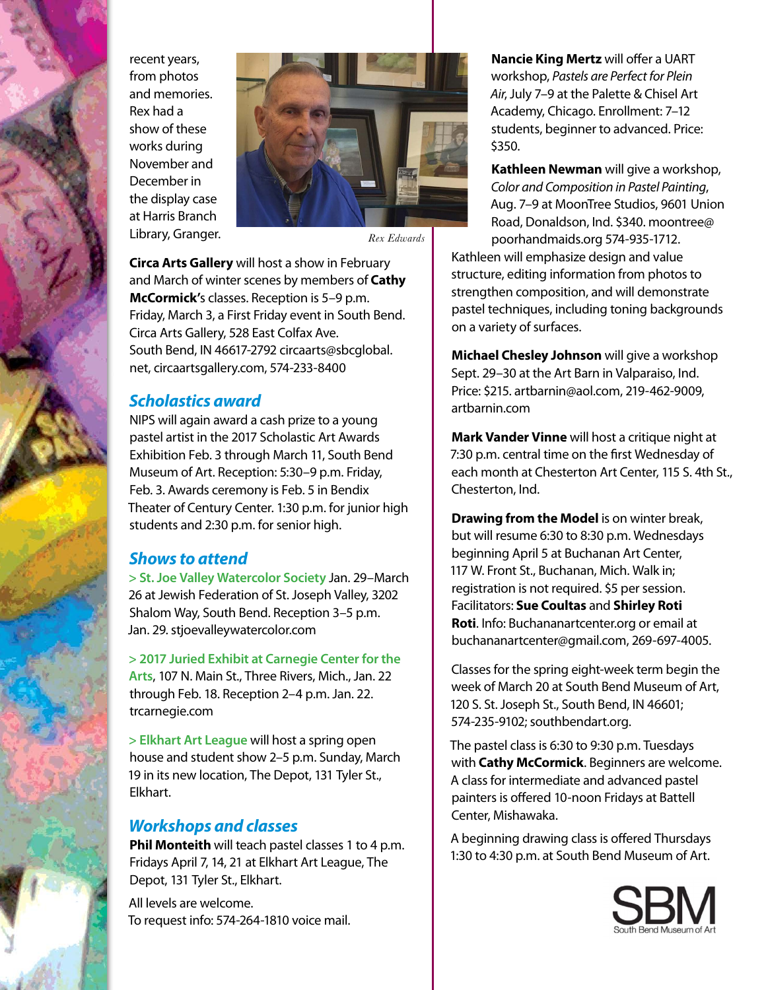recent years, from photos and memories. Rex had a show of these works during November and December in the display case at Harris Branch Library, Granger.



*Rex Edwards*

**Circa Arts Gallery** will host a show in February and March of winter scenes by members of **Cathy McCormick'**s classes. Reception is 5–9 p.m. Friday, March 3, a First Friday event in South Bend. Circa Arts Gallery, 528 East Colfax Ave. South Bend, IN 46617-2792 [circaarts@sbcglobal.](mailto:circaarts@sbcglobal.net) [net](mailto:circaarts@sbcglobal.net),<circaartsgallery.com>, 574-233-8400

### *Scholastics award*

NIPS will again award a cash prize to a young pastel artist in the 2017 Scholastic Art Awards Exhibition Feb. 3 through March 11, South Bend Museum of Art. Reception: 5:30–9 p.m. Friday, Feb. 3. Awards ceremony is Feb. 5 in Bendix Theater of Century Center. 1:30 p.m. for junior high students and 2:30 p.m. for senior high.

### *Shows to attend*

**> St. Joe Valley Watercolor Society** Jan. 29–March 26 at Jewish Federation of St. Joseph Valley, 3202 Shalom Way, South Bend. Reception 3–5 p.m. Jan. 29. <stjoevalleywatercolor.com>

**> 2017 Juried Exhibit at Carnegie Center for the Arts**, 107 N. Main St., Three Rivers, Mich., Jan. 22 through Feb. 18. Reception 2–4 p.m. Jan. 22. <trcarnegie.com>

**> Elkhart Art League** will host a spring open house and student show 2–5 p.m. Sunday, March 19 in its new location, The Depot, 131 Tyler St., Elkhart.

### *Workshops and classes*

**Phil Monteith** will teach pastel classes 1 to 4 p.m. Fridays April 7, 14, 21 at Elkhart Art League, The Depot, 131 Tyler St., Elkhart.

All levels are welcome. To request info: 574-264-1810 voice mail.

**Nancie King Mertz** will offer a UART workshop, *Pastels are Perfect for Plein Air*, July 7–9 at the Palette & Chisel Art Academy, Chicago. Enrollment: 7–12 students, beginner to advanced. Price: \$350.

**Kathleen Newman** will give a workshop, *Color and Composition in Pastel Painting*, Aug. 7–9 at MoonTree Studios, 9601 Union Road, Donaldson, Ind. \$340. [moontree@](mailto:moontree@poorhandmaids.org) [poorhandmaids.org](mailto:moontree@poorhandmaids.org) 574-935-1712.

Kathleen will emphasize design and value structure, editing information from photos to strengthen composition, and will demonstrate pastel techniques, including toning backgrounds on a variety of surfaces.

**Michael Chesley Johnson** will give a workshop Sept. 29–30 at the Art Barn in Valparaiso, Ind. Price: \$215. [artbarnin@aol.com,](mailto:artbarnin@aol.com) 219-462-9009, <artbarnin.com>

**Mark Vander Vinne** will host a critique night at 7:30 p.m. central time on the first Wednesday of each month at Chesterton Art Center, 115 S. 4th St., Chesterton, Ind.

**Drawing from the Model** is on winter break, but will resume 6:30 to 8:30 p.m. Wednesdays beginning April 5 at Buchanan Art Center, 117 W. Front St., Buchanan, Mich. Walk in; registration is not required. \$5 per session. Facilitators: **Sue Coultas** and **Shirley Roti Roti**. Info: <Buchananartcenter.org> or email at [buchananartcenter@gmail.com,](mailto:buchananartcenter@gmail.com) 269-697-4005.

Classes for the spring eight-week term begin the week of March 20 at South Bend Museum of Art, 120 S. St. Joseph St., South Bend, IN 46601; 574-235-9102; [southbendart.org.](southbendart.org)

The pastel class is 6:30 to 9:30 p.m. Tuesdays with **Cathy McCormick**. Beginners are welcome. A class for intermediate and advanced pastel painters is offered 10-noon Fridays at Battell Center, Mishawaka.

A beginning drawing class is offered Thursdays 1:30 to 4:30 p.m. at South Bend Museum of Art.